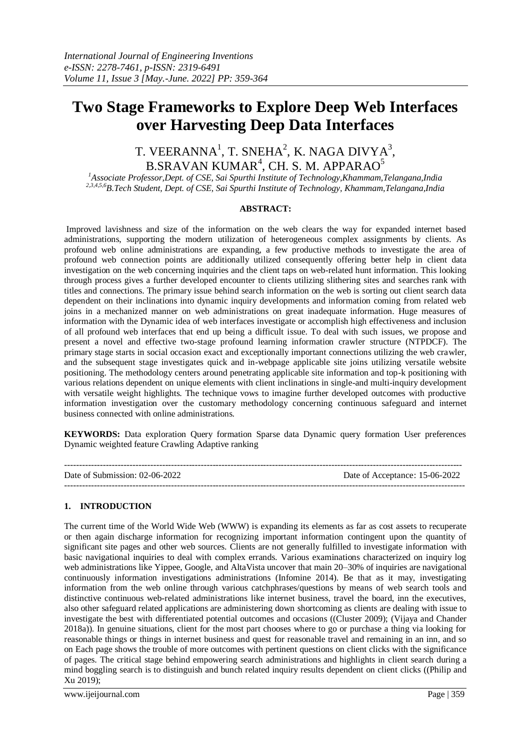# **Two Stage Frameworks to Explore Deep Web Interfaces over Harvesting Deep Data Interfaces**

# T. VEERANNA $^1$ , T. SNEHA $^2$ , K. NAGA DIVYA $^3$ ,  $\mathrm{B}.\mathrm{SRAVAN}$  KUMAR $^4$ , CH. S. M. APPARA $\mathrm{O}^5$

*<sup>1</sup>Associate Professor,Dept. of CSE, Sai Spurthi Institute of Technology,Khammam,Telangana,India 2,3,4,5,6B.Tech Student, Dept. of CSE, Sai Spurthi Institute of Technology, Khammam,Telangana,India*

#### **ABSTRACT:**

Improved lavishness and size of the information on the web clears the way for expanded internet based administrations, supporting the modern utilization of heterogeneous complex assignments by clients. As profound web online administrations are expanding, a few productive methods to investigate the area of profound web connection points are additionally utilized consequently offering better help in client data investigation on the web concerning inquiries and the client taps on web-related hunt information. This looking through process gives a further developed encounter to clients utilizing slithering sites and searches rank with titles and connections. The primary issue behind search information on the web is sorting out client search data dependent on their inclinations into dynamic inquiry developments and information coming from related web joins in a mechanized manner on web administrations on great inadequate information. Huge measures of information with the Dynamic idea of web interfaces investigate or accomplish high effectiveness and inclusion of all profound web interfaces that end up being a difficult issue. To deal with such issues, we propose and present a novel and effective two-stage profound learning information crawler structure (NTPDCF). The primary stage starts in social occasion exact and exceptionally important connections utilizing the web crawler, and the subsequent stage investigates quick and in-webpage applicable site joins utilizing versatile website positioning. The methodology centers around penetrating applicable site information and top-k positioning with various relations dependent on unique elements with client inclinations in single-and multi-inquiry development with versatile weight highlights. The technique vows to imagine further developed outcomes with productive information investigation over the customary methodology concerning continuous safeguard and internet business connected with online administrations.

**KEYWORDS:** Data exploration Query formation Sparse data Dynamic query formation User preferences Dynamic weighted feature Crawling Adaptive ranking

| Date of Submission: $02-06-2022$ | Date of Acceptance: 15-06-2022 |
|----------------------------------|--------------------------------|
|                                  |                                |

# **1. INTRODUCTION**

The current time of the World Wide Web (WWW) is expanding its elements as far as cost assets to recuperate or then again discharge information for recognizing important information contingent upon the quantity of significant site pages and other web sources. Clients are not generally fulfilled to investigate information with basic navigational inquiries to deal with complex errands. Various examinations characterized on inquiry log web administrations like Yippee, Google, and AltaVista uncover that main 20–30% of inquiries are navigational continuously information investigations administrations (Infomine 2014). Be that as it may, investigating information from the web online through various catchphrases/questions by means of web search tools and distinctive continuous web-related administrations like internet business, travel the board, inn the executives, also other safeguard related applications are administering down shortcoming as clients are dealing with issue to investigate the best with differentiated potential outcomes and occasions ((Cluster 2009); (Vijaya and Chander 2018a)). In genuine situations, client for the most part chooses where to go or purchase a thing via looking for reasonable things or things in internet business and quest for reasonable travel and remaining in an inn, and so on Each page shows the trouble of more outcomes with pertinent questions on client clicks with the significance of pages. The critical stage behind empowering search administrations and highlights in client search during a mind boggling search is to distinguish and bunch related inquiry results dependent on client clicks ((Philip and Xu 2019);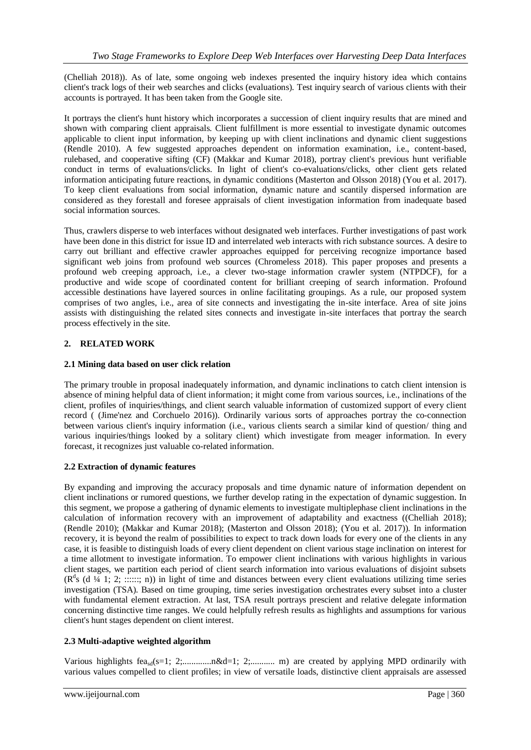(Chelliah 2018)). As of late, some ongoing web indexes presented the inquiry history idea which contains client's track logs of their web searches and clicks (evaluations). Test inquiry search of various clients with their accounts is portrayed. It has been taken from the Google site.

It portrays the client's hunt history which incorporates a succession of client inquiry results that are mined and shown with comparing client appraisals. Client fulfillment is more essential to investigate dynamic outcomes applicable to client input information, by keeping up with client inclinations and dynamic client suggestions (Rendle 2010). A few suggested approaches dependent on information examination, i.e., content-based, rulebased, and cooperative sifting (CF) (Makkar and Kumar 2018), portray client's previous hunt verifiable conduct in terms of evaluations/clicks. In light of client's co-evaluations/clicks, other client gets related information anticipating future reactions, in dynamic conditions (Masterton and Olsson 2018) (You et al. 2017). To keep client evaluations from social information, dynamic nature and scantily dispersed information are considered as they forestall and foresee appraisals of client investigation information from inadequate based social information sources.

Thus, crawlers disperse to web interfaces without designated web interfaces. Further investigations of past work have been done in this district for issue ID and interrelated web interacts with rich substance sources. A desire to carry out brilliant and effective crawler approaches equipped for perceiving recognize importance based significant web joins from profound web sources (Chromeless 2018). This paper proposes and presents a profound web creeping approach, i.e., a clever two-stage information crawler system (NTPDCF), for a productive and wide scope of coordinated content for brilliant creeping of search information. Profound accessible destinations have layered sources in online facilitating groupings. As a rule, our proposed system comprises of two angles, i.e., area of site connects and investigating the in-site interface. Area of site joins assists with distinguishing the related sites connects and investigate in-site interfaces that portray the search process effectively in the site.

# **2. RELATED WORK**

#### **2.1 Mining data based on user click relation**

The primary trouble in proposal inadequately information, and dynamic inclinations to catch client intension is absence of mining helpful data of client information; it might come from various sources, i.e., inclinations of the client, profiles of inquiries/things, and client search valuable information of customized support of every client record ( (Jime'nez and Corchuelo 2016)). Ordinarily various sorts of approaches portray the co-connection between various client's inquiry information (i.e., various clients search a similar kind of question/ thing and various inquiries/things looked by a solitary client) which investigate from meager information. In every forecast, it recognizes just valuable co-related information.

# **2.2 Extraction of dynamic features**

By expanding and improving the accuracy proposals and time dynamic nature of information dependent on client inclinations or rumored questions, we further develop rating in the expectation of dynamic suggestion. In this segment, we propose a gathering of dynamic elements to investigate multiplephase client inclinations in the calculation of information recovery with an improvement of adaptability and exactness ((Chelliah 2018); (Rendle 2010); (Makkar and Kumar 2018); (Masterton and Olsson 2018); (You et al. 2017)). In information recovery, it is beyond the realm of possibilities to expect to track down loads for every one of the clients in any case, it is feasible to distinguish loads of every client dependent on client various stage inclination on interest for a time allotment to investigate information. To empower client inclinations with various highlights in various client stages, we partition each period of client search information into various evaluations of disjoint subsets  $(R<sup>d</sup>s$  (d ¼ 1; 2; ::::::; n)) in light of time and distances between every client evaluations utilizing time series investigation (TSA). Based on time grouping, time series investigation orchestrates every subset into a cluster with fundamental element extraction. At last, TSA result portrays prescient and relative delegate information concerning distinctive time ranges. We could helpfully refresh results as highlights and assumptions for various client's hunt stages dependent on client interest.

# **2.3 Multi-adaptive weighted algorithm**

Various highlights feasd(s=1; 2;.............n&d=1; 2;........... m) are created by applying MPD ordinarily with various values compelled to client profiles; in view of versatile loads, distinctive client appraisals are assessed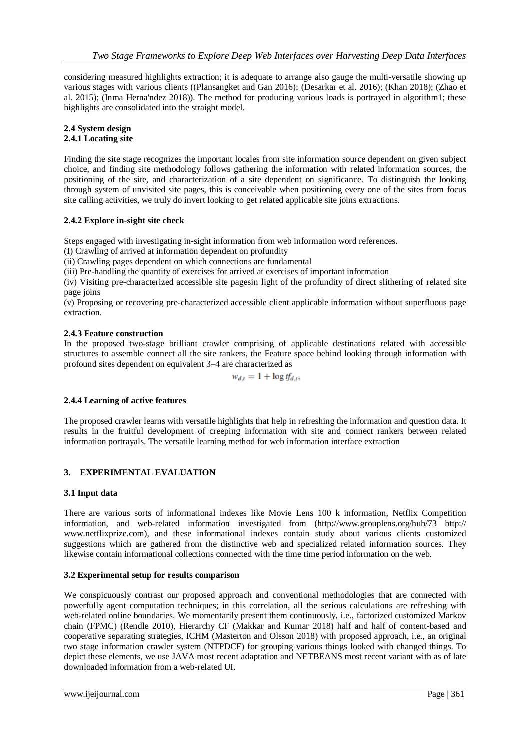considering measured highlights extraction; it is adequate to arrange also gauge the multi-versatile showing up various stages with various clients ((Plansangket and Gan 2016); (Desarkar et al. 2016); (Khan 2018); (Zhao et al. 2015); (Inma Herna'ndez 2018)). The method for producing various loads is portrayed in algorithm1; these highlights are consolidated into the straight model.

#### **2.4 System design 2.4.1 Locating site**

Finding the site stage recognizes the important locales from site information source dependent on given subject choice, and finding site methodology follows gathering the information with related information sources, the positioning of the site, and characterization of a site dependent on significance. To distinguish the looking through system of unvisited site pages, this is conceivable when positioning every one of the sites from focus site calling activities, we truly do invert looking to get related applicable site joins extractions.

#### **2.4.2 Explore in-sight site check**

Steps engaged with investigating in-sight information from web information word references.

(I) Crawling of arrived at information dependent on profundity

(ii) Crawling pages dependent on which connections are fundamental

(iii) Pre-handling the quantity of exercises for arrived at exercises of important information

(iv) Visiting pre-characterized accessible site pagesin light of the profundity of direct slithering of related site page joins

(v) Proposing or recovering pre-characterized accessible client applicable information without superfluous page extraction.

# **2.4.3 Feature construction**

In the proposed two-stage brilliant crawler comprising of applicable destinations related with accessible structures to assemble connect all the site rankers, the Feature space behind looking through information with profound sites dependent on equivalent 3–4 are characterized as

$$
w_{d,t}=1+\log t f_{d,t},
$$

# **2.4.4 Learning of active features**

The proposed crawler learns with versatile highlights that help in refreshing the information and question data. It results in the fruitful development of creeping information with site and connect rankers between related information portrayals. The versatile learning method for web information interface extraction

# **3. EXPERIMENTAL EVALUATION**

#### **3.1 Input data**

There are various sorts of informational indexes like Movie Lens 100 k information, Netflix Competition information, and web-related information investigated from (http://www.grouplens.org/hub/73 http:// www.netflixprize.com), and these informational indexes contain study about various clients customized suggestions which are gathered from the distinctive web and specialized related information sources. They likewise contain informational collections connected with the time time period information on the web.

# **3.2 Experimental setup for results comparison**

We conspicuously contrast our proposed approach and conventional methodologies that are connected with powerfully agent computation techniques; in this correlation, all the serious calculations are refreshing with web-related online boundaries. We momentarily present them continuously, i.e., factorized customized Markov chain (FPMC) (Rendle 2010), Hierarchy CF (Makkar and Kumar 2018) half and half of content-based and cooperative separating strategies, ICHM (Masterton and Olsson 2018) with proposed approach, i.e., an original two stage information crawler system (NTPDCF) for grouping various things looked with changed things. To depict these elements, we use JAVA most recent adaptation and NETBEANS most recent variant with as of late downloaded information from a web-related UI.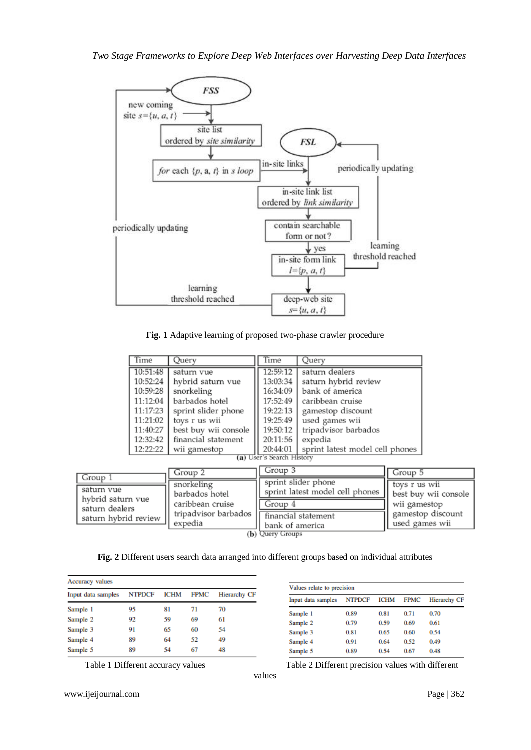

**Fig. 1** Adaptive learning of proposed two-phase crawler procedure

| Time                      | Ouerv                | Time     | Ouerv                           |  |
|---------------------------|----------------------|----------|---------------------------------|--|
| 10:51:48                  | saturn vue           | 12:59:12 | saturn dealers                  |  |
| 10:52:24                  | hybrid saturn vue    | 13:03:34 | saturn hybrid review            |  |
| 10:59:28                  | snorkeling           | 16:34:09 | bank of america                 |  |
| 11:12:04                  | barbados hotel       | 17:52:49 | caribbean cruise                |  |
| 11:17:23                  | sprint slider phone  | 19:22:13 | gamestop discount               |  |
| 11:21:02                  | toys r us wii        | 19:25:49 | used games wii                  |  |
| 11:40:27                  | best buy wii console | 19:50:12 | tripadvisor barbados            |  |
| 12:32:42                  | financial statement  | 20:11:56 | expedia                         |  |
| 12:22:22                  | wii gamestop         | 20:44:01 | sprint latest model cell phones |  |
| (a) User's Search History |                      |          |                                 |  |

| Group 1                             | Group 2              | Group 3                         | Group 5              |
|-------------------------------------|----------------------|---------------------------------|----------------------|
| saturn vue                          | snorkeling           | sprint slider phone             | toys r us wii        |
|                                     | barbados hotel       | sprint latest model cell phones | best buy wii console |
| hvbrid saturn vue<br>saturn dealers | caribbean cruise     | Group 4                         | wii gamestop         |
| saturn hybrid review                | tripadvisor barbados | financial statement             | gamestop discount    |
|                                     | expedia              | bank of america                 | used games wii       |

(b) Query Groups

**Fig. 2** Different users search data arranged into different groups based on individual attributes

values

| <b>Accuracy</b> values |               |             |             |                     |  |
|------------------------|---------------|-------------|-------------|---------------------|--|
| Input data samples     | <b>NTPDCF</b> | <b>ICHM</b> | <b>FPMC</b> | <b>Hierarchy CF</b> |  |
| Sample 1               | 95            | 81          | 71          | 70                  |  |
| Sample 2               | 92            | 59          | 69          | 61                  |  |
| Sample 3               | 91            | 65          | 60          | 54                  |  |
| Sample 4               | 89            | 64          | 52          | 49                  |  |
| Sample 5               | 89            | 54          | 67          | 48                  |  |

| Values relate to precision |               |             |             |                     |  |
|----------------------------|---------------|-------------|-------------|---------------------|--|
| Input data samples         | <b>NTPDCF</b> | <b>ICHM</b> | <b>FPMC</b> | <b>Hierarchy CF</b> |  |
| Sample 1                   | 0.89          | 0.81        | 0.71        | 0.70                |  |
| Sample 2                   | 0.79          | 0.59        | 0.69        | 0.61                |  |
| Sample 3                   | 0.81          | 0.65        | 0.60        | 0.54                |  |
| Sample 4                   | 0.91          | 0.64        | 0.52        | 0.49                |  |
| Sample 5                   | 0.89          | 0.54        | 0.67        | 0.48                |  |

Table 1 Different accuracy values Table 2 Different precision values with different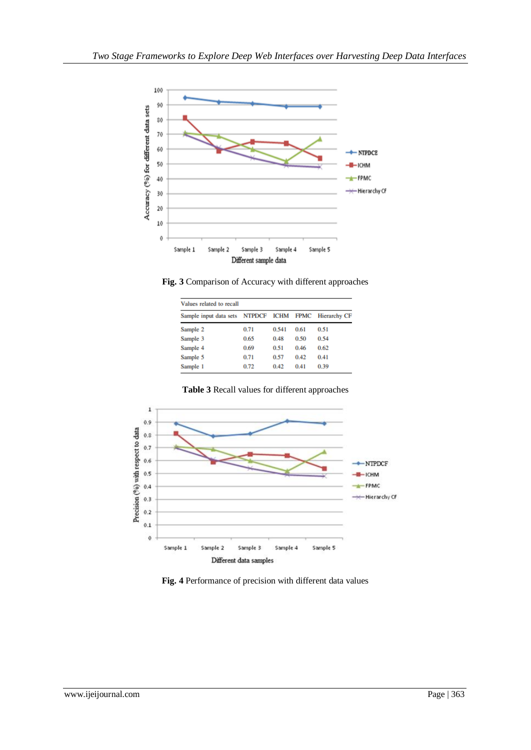

**Fig. 3** Comparison of Accuracy with different approaches

| Values related to recall      |      |             |      |                   |  |
|-------------------------------|------|-------------|------|-------------------|--|
| Sample input data sets NTPDCF |      | <b>ICHM</b> |      | FPMC Hierarchy CF |  |
| Sample 2                      | 0.71 | 0.541       | 0.61 | 0.51              |  |
| Sample 3                      | 0.65 | 0.48        | 0.50 | 0.54              |  |
| Sample 4                      | 0.69 | 0.51        | 0.46 | 0.62              |  |
| Sample 5                      | 0.71 | 0.57        | 0.42 | 0.41              |  |
| Sample 1                      | 0.72 | 0.42        | 0.41 | 0.39              |  |



**Table 3** Recall values for different approaches